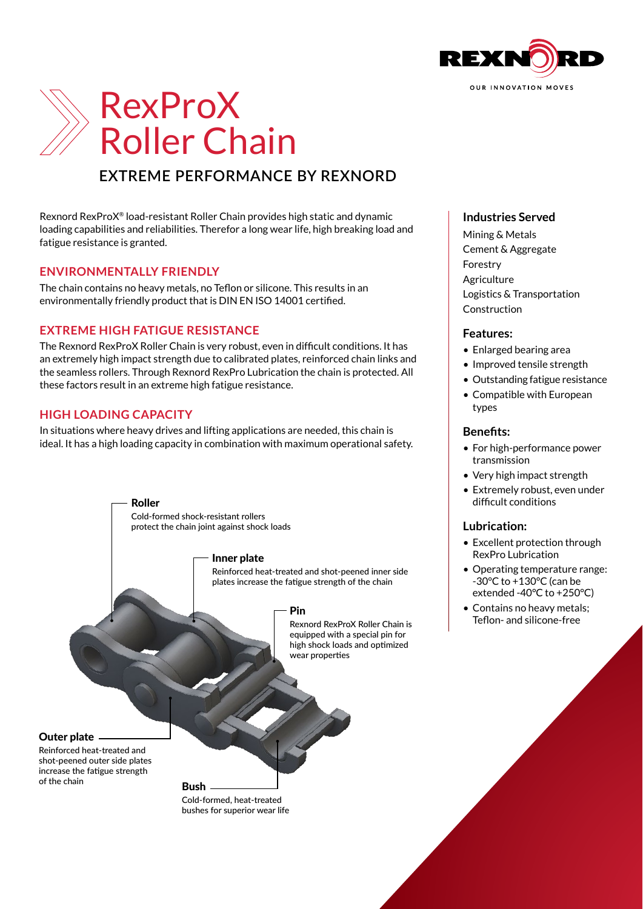



# **EXTREME PERFORMANCE BY REXNORD**

Rexnord RexProX® load-resistant Roller Chain provides high static and dynamic loading capabilities and reliabilities. Therefor a long wear life, high breaking load and fatigue resistance is granted.

## **ENVIRONMENTALLY FRIENDLY**

The chain contains no heavy metals, no Teflon or silicone. This results in an environmentally friendly product that is DIN EN ISO 14001 certified.

## **EXTREME HIGH FATIGUE RESISTANCE**

The Rexnord RexProX Roller Chain is very robust, even in difficult conditions. It has an extremely high impact strength due to calibrated plates, reinforced chain links and the seamless rollers. Through Rexnord RexPro Lubrication the chain is protected. All these factors result in an extreme high fatigue resistance.

## **HIGH LOADING CAPACITY**

In situations where heavy drives and lifting applications are needed, this chain is ideal. It has a high loading capacity in combination with maximum operational safety.



# **Industries Served**

Mining & Metals Cement & Aggregate Forestry **Agriculture** Logistics & Transportation Construction

#### **Features:**

- Enlarged bearing area
- Improved tensile strength
- Outstanding fatigue resistance
- Compatible with European types

#### **Benefits:**

- For high-performance power transmission
- Very high impact strength
- Extremely robust, even under difficult conditions

#### **Lubrication:**

- Excellent protection through RexPro Lubrication
- Operating temperature range: -30°C to +130°C (can be extended -40°C to +250°C)
- Contains no heavy metals; Teflon- and silicone-free